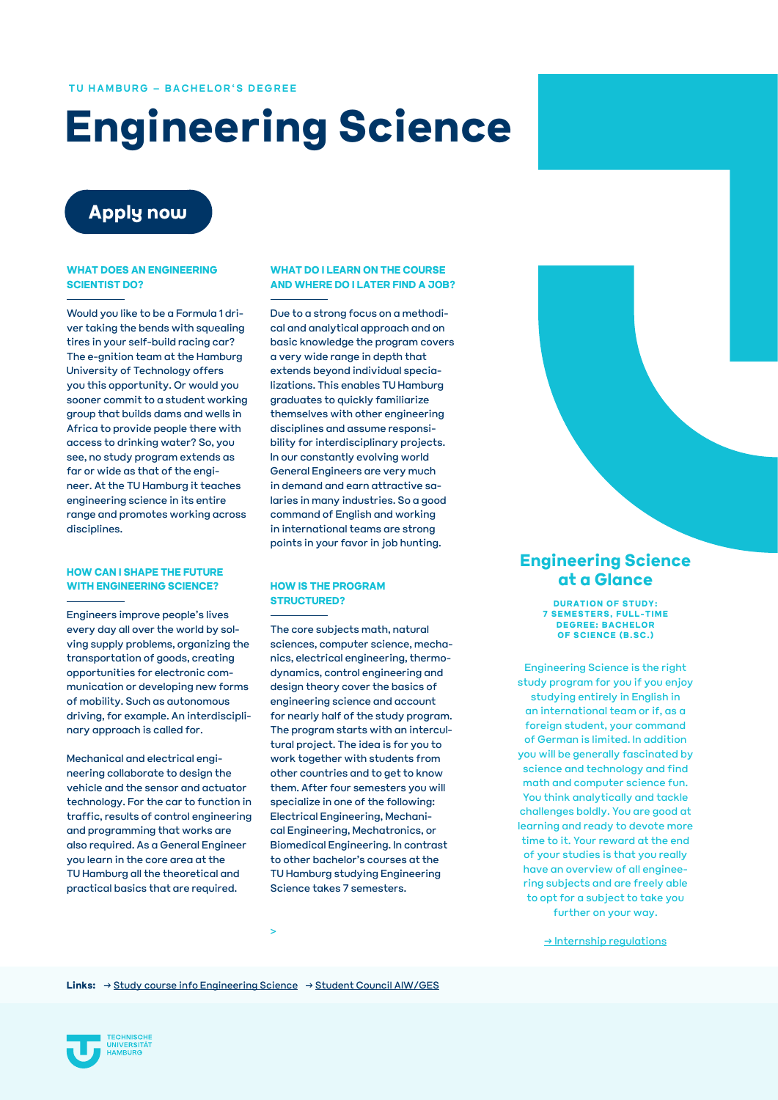#### **TU HAMBURG – BACHELOR'S DEGREE**

# **Engineering Science**

## **[Apply now](https://tune.tuhh.de/tusp/weiche/)**

#### **WHAT DOES AN ENGINEERING SCIENTIST DO?**

Would you like to be a Formula 1 driver taking the bends with squealing tires in your self-build racing car? The e-gnition team at the Hamburg University of Technology offers you this opportunity. Or would you sooner commit to a student working group that builds dams and wells in Africa to provide people there with access to drinking water? So, you see, no study program extends as far or wide as that of the engineer. At the TU Hamburg it teaches engineering science in its entire range and promotes working across disciplines.

#### **HOW CAN I SHAPE THE FUTURE WITH ENGINEERING SCIENCE?**

Engineers improve people's lives every day all over the world by solving supply problems, organizing the transportation of goods, creating opportunities for electronic communication or developing new forms of mobility. Such as autonomous driving, for example. An interdisciplinary approach is called for.

Mechanical and electrical engineering collaborate to design the vehicle and the sensor and actuator technology. For the car to function in traffic, results of control engineering and programming that works are also required. As a General Engineer you learn in the core area at the TU Hamburg all the theoretical and practical basics that are required.

#### **WHAT DO I LEARN ON THE COURSE AND WHERE DO I LATER FIND A JOB?**

Due to a strong focus on a methodical and analytical approach and on basic knowledge the program covers a very wide range in depth that extends beyond individual specializations. This enables TU Hamburg graduates to quickly familiarize themselves with other engineering disciplines and assume responsibility for interdisciplinary projects. In our constantly evolving world General Engineers are very much in demand and earn attractive salaries in many industries. So a good command of English and working in international teams are strong points in your favor in job hunting.

#### **HOW IS THE PROGRAM STRUCTURED?**

The core subjects math, natural sciences, computer science, mechanics, electrical engineering, thermodynamics, control engineering and design theory cover the basics of engineering science and account for nearly half of the study program. The program starts with an intercultural project. The idea is for you to work together with students from other countries and to get to know them. After four semesters you will specialize in one of the following: Electrical Engineering, Mechanical Engineering, Mechatronics, or Biomedical Engineering. In contrast to other bachelor's courses at the TU Hamburg studying Engineering Science takes 7 semesters.

### **Engineering Science at a Glance**

**DURATION OF STUDY: 7 SEMESTERS, FULL-TIME DEGREE: BACHELOR OF SCIENCE (B.SC.)**

Engineering Science is the right study program for you if you enjoy studying entirely in English in an international team or if, as a foreign student, your command of German is limited. In addition you will be generally fascinated by science and technology and find math and computer science fun. You think analytically and tackle challenges boldly. You are good at learning and ready to devote more time to it. Your reward at the end of your studies is that you really have an overview of all engineering subjects and are freely able to opt for a subject to take you further on your way.

[→ Internship regulations](https://www.tuhh.de/tuhh/studium/studienangebot/bachelorstudiengaenge/praktikum/praktikumsordnung-aiwges.html)

**Links:** [→ Study course info Engineering Science](https://www.tuhh.de/tuhh/studium/studienangebot/bachelorstudiengaenge/general-engineering-science.html) [→ Student Council AIW/GES](https://aiw-ges.de/de/)

>